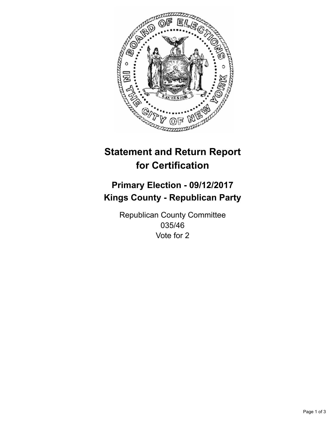

## **Statement and Return Report for Certification**

## **Primary Election - 09/12/2017 Kings County - Republican Party**

Republican County Committee 035/46 Vote for 2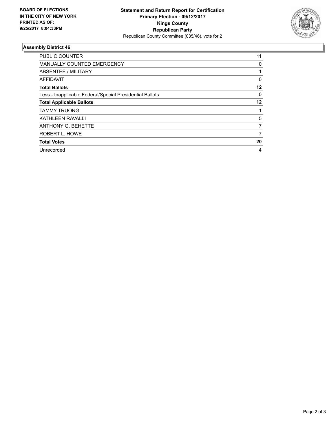

## **Assembly District 46**

| <b>PUBLIC COUNTER</b>                                    | 11 |
|----------------------------------------------------------|----|
| <b>MANUALLY COUNTED EMERGENCY</b>                        | 0  |
| ABSENTEE / MILITARY                                      |    |
| AFFIDAVIT                                                | 0  |
| <b>Total Ballots</b>                                     | 12 |
| Less - Inapplicable Federal/Special Presidential Ballots | 0  |
| <b>Total Applicable Ballots</b>                          | 12 |
| <b>TAMMY TRUONG</b>                                      |    |
| <b>KATHLEEN RAVALLI</b>                                  | 5  |
| <b>ANTHONY G. BEHETTE</b>                                | 7  |
| ROBERT L. HOWE                                           | 7  |
| <b>Total Votes</b>                                       | 20 |
| Unrecorded                                               | 4  |